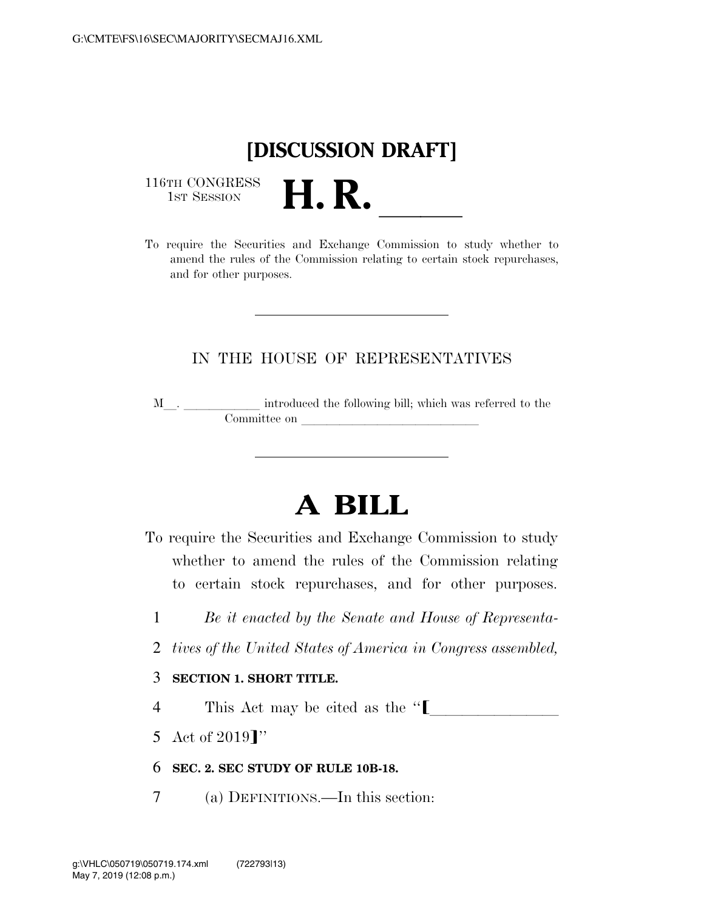## **[DISCUSSION DRAFT]**

116TH CONGRESS<br>1st Session

116TH CONGRESS<br>
1ST SESSION<br>
To require the Securities and Exchange Commission to study whether to amend the rules of the Commission relating to certain stock repurchases, and for other purposes.

## IN THE HOUSE OF REPRESENTATIVES

M<sub>\_\_\_</sub>. \_\_\_\_\_\_\_\_\_\_\_\_\_\_ introduced the following bill; which was referred to the  $$ 

## **A BILL**

To require the Securities and Exchange Commission to study whether to amend the rules of the Commission relating to certain stock repurchases, and for other purposes.

- 1 *Be it enacted by the Senate and House of Representa-*
- 2 *tives of the United States of America in Congress assembled,*

## 3 **SECTION 1. SHORT TITLE.**

- 4 This Act may be cited as the  $\lq\lq$
- 5 Act of 2019]''
- 6 **SEC. 2. SEC STUDY OF RULE 10B-18.**
- 7 (a) DEFINITIONS.—In this section: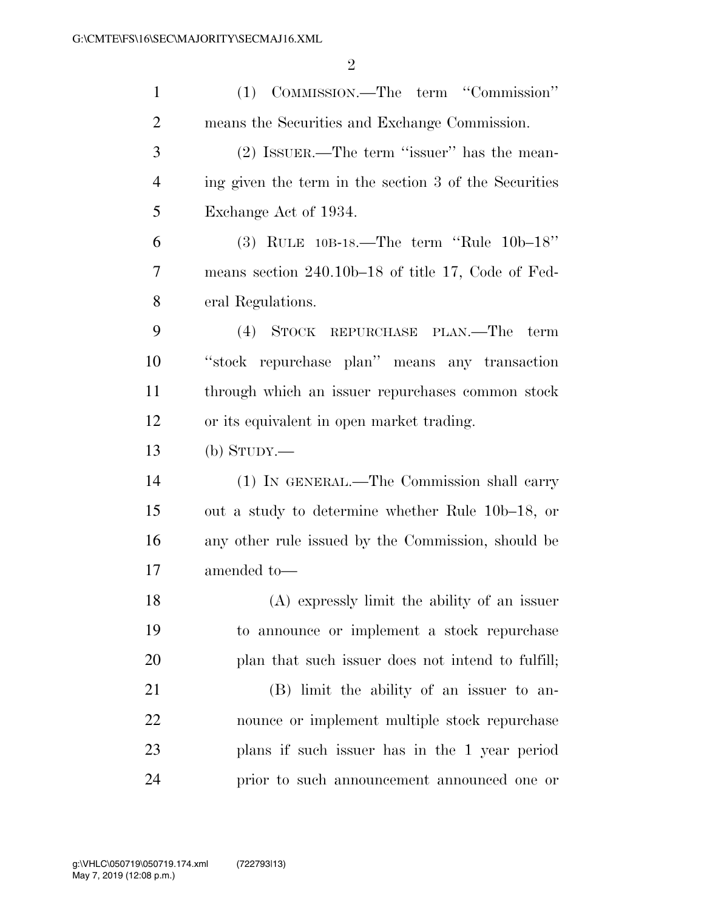| $\mathbf{1}$   | (1) COMMISSION.—The term "Commission"                 |
|----------------|-------------------------------------------------------|
| $\overline{2}$ | means the Securities and Exchange Commission.         |
| 3              | $(2)$ ISSUER.—The term "issuer" has the mean-         |
| $\overline{4}$ | ing given the term in the section 3 of the Securities |
| 5              | Exchange Act of 1934.                                 |
| 6              | (3) RULE $10B-18$ . The term "Rule $10b-18$ "         |
| 7              | means section $240.10b-18$ of title 17, Code of Fed-  |
| 8              | eral Regulations.                                     |
| 9              | (4) STOCK REPURCHASE PLAN.—The<br>term                |
| 10             | "stock repurchase plan" means any transaction         |
| 11             | through which an issuer repurchases common stock      |
| 12             | or its equivalent in open market trading.             |
| 13             | $(b)$ STUDY.—                                         |
| 14             | (1) IN GENERAL.—The Commission shall carry            |
| 15             | out a study to determine whether Rule 10b–18, or      |
| 16             | any other rule issued by the Commission, should be    |
| 17             | amended to-                                           |
| 18             | (A) expressly limit the ability of an issuer          |
| 19             | to announce or implement a stock repurchase           |
| 20             | plan that such issuer does not intend to fulfill;     |
| 21             | (B) limit the ability of an issuer to an-             |
| 22             | nounce or implement multiple stock repurchase         |
| 23             | plans if such issuer has in the 1 year period         |
| 24             | prior to such announcement announced one or           |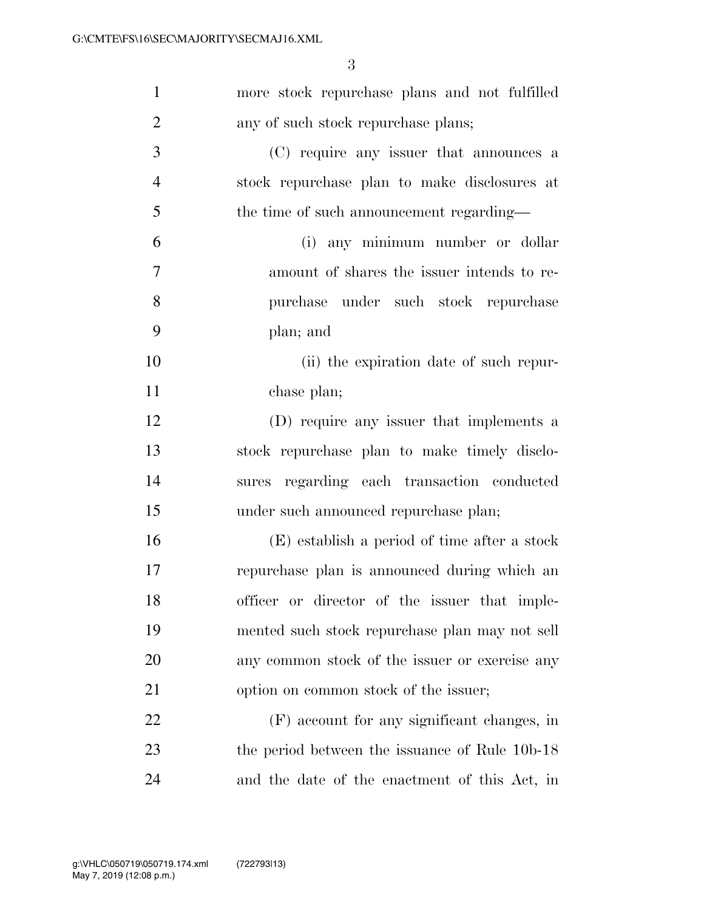| $\mathbf{1}$   | more stock repurchase plans and not fulfilled  |
|----------------|------------------------------------------------|
| $\overline{2}$ | any of such stock repurchase plans;            |
| 3              | (C) require any issuer that announces a        |
| $\overline{4}$ | stock repurchase plan to make disclosures at   |
| 5              | the time of such announcement regarding—       |
| 6              | (i) any minimum number or dollar               |
| 7              | amount of shares the issuer intends to re-     |
| 8              | purchase under such stock repurchase           |
| 9              | plan; and                                      |
| 10             | (ii) the expiration date of such repur-        |
| 11             | chase plan;                                    |
| 12             | (D) require any issuer that implements a       |
| 13             | stock repurchase plan to make timely disclo-   |
| 14             | sures regarding each transaction conducted     |
| 15             | under such announced repurchase plan;          |
| 16             | (E) establish a period of time after a stock   |
| 17             | repurchase plan is announced during which an   |
| 18             | officer or director of the issuer that imple-  |
| 19             | mented such stock repurchase plan may not sell |
| 20             | any common stock of the issuer or exercise any |
| 21             | option on common stock of the issuer;          |
| 22             | (F) account for any significant changes, in    |
| 23             | the period between the issuance of Rule 10b-18 |
| 24             | and the date of the enactment of this Act, in  |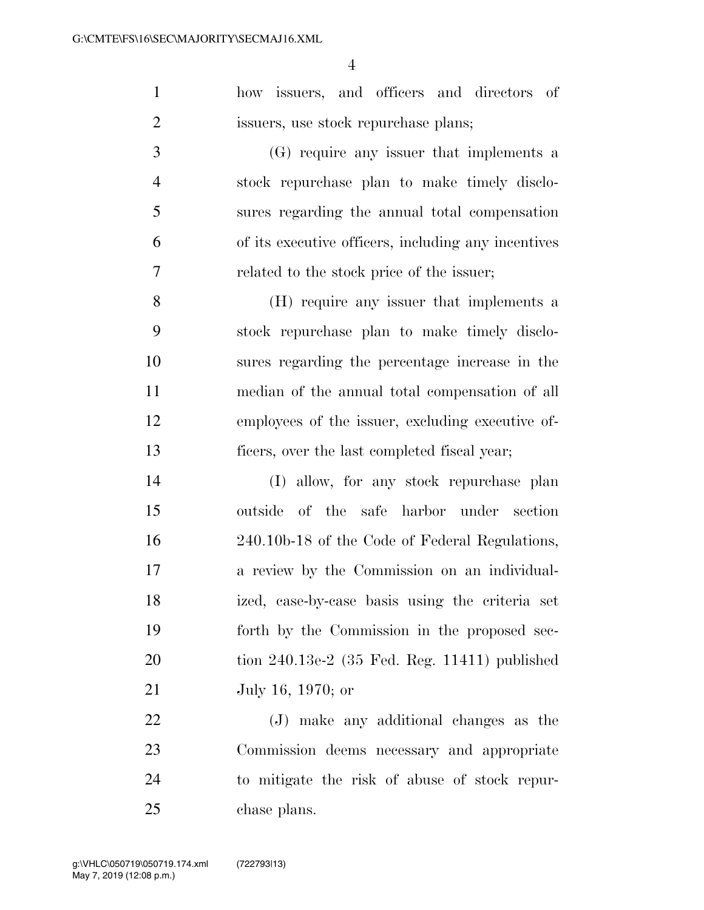how issuers, and officers and directors of issuers, use stock repurchase plans;

 (G) require any issuer that implements a stock repurchase plan to make timely disclo- sures regarding the annual total compensation of its executive officers, including any incentives related to the stock price of the issuer;

 (H) require any issuer that implements a stock repurchase plan to make timely disclo- sures regarding the percentage increase in the median of the annual total compensation of all employees of the issuer, excluding executive of-ficers, over the last completed fiscal year;

 (I) allow, for any stock repurchase plan outside of the safe harbor under section 240.10b-18 of the Code of Federal Regulations, a review by the Commission on an individual- ized, case-by-case basis using the criteria set forth by the Commission in the proposed sec- tion 240.13e-2 (35 Fed. Reg. 11411) published July 16, 1970; or

 (J) make any additional changes as the Commission deems necessary and appropriate to mitigate the risk of abuse of stock repur-chase plans.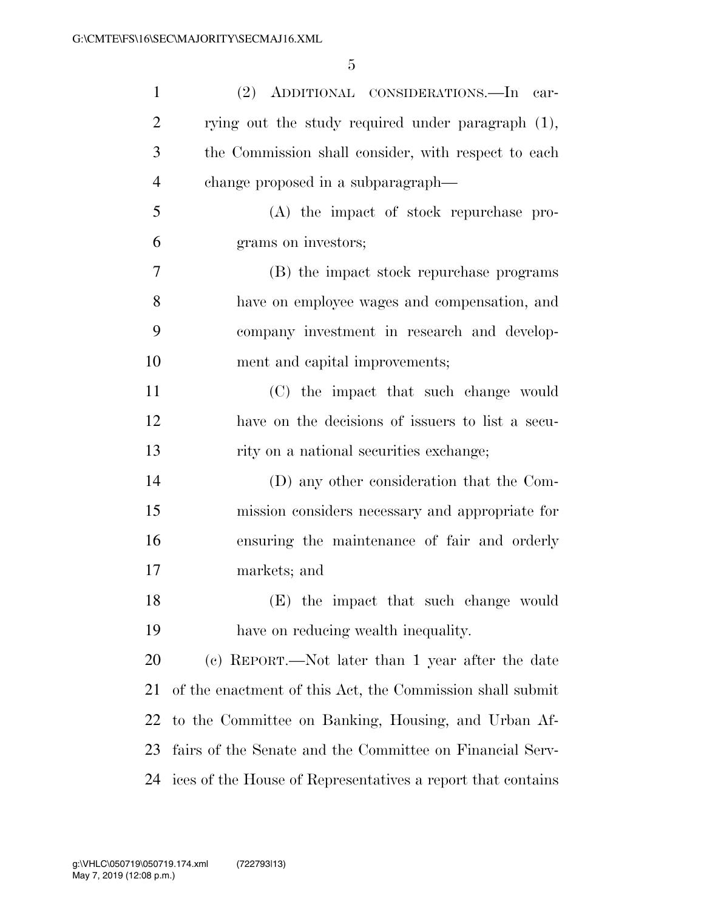| $\mathbf{1}$   | (2) ADDITIONAL CONSIDERATIONS.—In car-                      |
|----------------|-------------------------------------------------------------|
| $\overline{2}$ | rying out the study required under paragraph (1),           |
| 3              | the Commission shall consider, with respect to each         |
| $\overline{4}$ | change proposed in a subparagraph—                          |
| 5              | (A) the impact of stock repurchase pro-                     |
| 6              | grams on investors;                                         |
| 7              | (B) the impact stock repurchase programs                    |
| 8              | have on employee wages and compensation, and                |
| 9              | company investment in research and develop-                 |
| 10             | ment and capital improvements;                              |
| 11             | (C) the impact that such change would                       |
| 12             | have on the decisions of issuers to list a secu-            |
| 13             | rity on a national securities exchange;                     |
| 14             | (D) any other consideration that the Com-                   |
| 15             | mission considers necessary and appropriate for             |
| 16             | ensuring the maintenance of fair and orderly                |
| 17             | markets; and                                                |
| 18             | (E) the impact that such change would                       |
| 19             | have on reducing wealth inequality.                         |
| 20             | (c) REPORT.—Not later than 1 year after the date            |
| 21             | of the enactment of this Act, the Commission shall submit   |
| 22             | to the Committee on Banking, Housing, and Urban Af-         |
| 23             | fairs of the Senate and the Committee on Financial Serv-    |
| 24             | ices of the House of Representatives a report that contains |